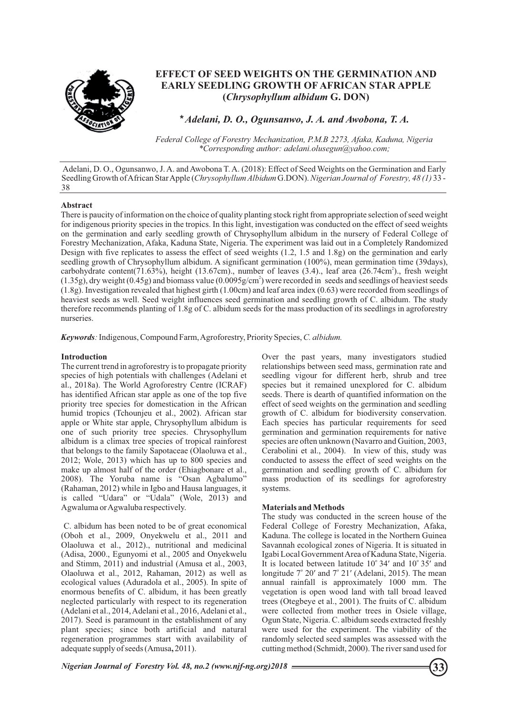

# **EFFECT OF SEED WEIGHTS ON THE GERMINATION AND EARLY SEEDLING GROWTH OF AFRICAN STAR APPLE (***Chrysophyllum albidum* **G. DON)**

*\* Adelani, D. O., Ogunsanwo, J. A. and Awobona, T. A.*

*Federal College of Forestry Mechanization, P.M.B 2273, Afaka, Kaduna, Nigeria \*Corresponding author: adelani.olusegun@yahoo.com;* 

Adelani, D. O., Ogunsanwo, J. A. and Awobona T. A. (2018): Effect of Seed Weights on the Germination and Early Seedling Growth of African Star Apple (*Chrysophyllum Albidum* G.DON). *Nigerian Journal of Forestry, 48 (1)* 33 - 38

## **Abstract**

There is paucity of information on the choice of quality planting stock right from appropriate selection of seed weight for indigenous priority species in the tropics. In this light, investigation was conducted on the effect of seed weights on the germination and early seedling growth of Chrysophyllum albidum in the nursery of Federal College of Forestry Mechanization, Afaka, Kaduna State, Nigeria. The experiment was laid out in a Completely Randomized Design with five replicates to assess the effect of seed weights (1.2, 1.5 and 1.8g) on the germination and early seedling growth of Chrysophyllum albidum. A significant germination (100%), mean germination time (39days), carbohydrate content(71.63%), height (13.67cm)., number of leaves (3.4)., leaf area (26.74cm<sup>2</sup>)., fresh weight  $(1.35g)$ , dry weight (0.45g) and biomass value (0.0095g/cm<sup>2</sup>) were recorded in seeds and seedlings of heaviest seeds (1.8g). Investigation revealed that highest girth (1.00cm) and leaf area index (0.63) were recorded from seedlings of heaviest seeds as well. Seed weight influences seed germination and seedling growth of C. albidum. The study therefore recommends planting of 1.8g of C. albidum seeds for the mass production of its seedlings in agroforestry nurseries.

*Keywords:*Indigenous, Compound Farm, Agroforestry, Priority Species, *C. albidum.*

## **Introduction**

The current trend in agroforestry is to propagate priority species of high potentials with challenges (Adelani et al., 2018a). The World Agroforestry Centre (ICRAF) has identified African star apple as one of the top five priority tree species for domestication in the African humid tropics (Tchounjeu et al., 2002). African star apple or White star apple, Chrysophyllum albidum is one of such priority tree species. Chrysophyllum albidum is a climax tree species of tropical rainforest that belongs to the family Sapotaceae (Olaoluwa et al., 2012; Wole, 2013) which has up to 800 species and make up almost half of the order (Ehiagbonare et al., 2008). The Yoruba name is "Osan Agbalumo" (Rahaman, 2012) while in Igbo and Hausa languages, it is called "Udara" or "Udala" (Wole, 2013) and Agwaluma or Agwaluba respectively.

C. albidum has been noted to be of great economical (Oboh et al., 2009, Onyekwelu et al., 2011 and Olaoluwa et al., 2012)., nutritional and medicinal (Adisa, 2000., Egunyomi et al., 2005 and Onyekwelu and Stimm, 2011) and industrial (Amusa et al., 2003, Olaoluwa et al., 2012, Rahaman, 2012) as well as ecological values (Aduradola et al., 2005). In spite of enormous benefits of C. albidum, it has been greatly neglected particularly with respect to its regeneration (Adelani et al., 2014, Adelani et al., 2016, Adelani et al., 2017). Seed is paramount in the establishment of any plant species; since both artificial and natural regeneration programmes start with availability of adequate supply of seeds (Amusa**,** 2011).

Over the past years, many investigators studied relationships between seed mass, germination rate and seedling vigour for different herb, shrub and tree species but it remained unexplored for C. albidum seeds. There is dearth of quantified information on the effect of seed weights on the germination and seedling growth of C. albidum for biodiversity conservation. Each species has particular requirements for seed germination and germination requirements for native species are often unknown (Navarro and Guition, 2003, Cerabolini et al., 2004). In view of this, study was conducted to assess the effect of seed weights on the germination and seedling growth of C. albidum for mass production of its seedlings for agroforestry systems.

## **Materials and Methods**

The study was conducted in the screen house of the Federal College of Forestry Mechanization, Afaka, Kaduna. The college is located in the Northern Guinea Savannah ecological zones of Nigeria. It is situated in Igabi Local Government Area of Kaduna State, Nigeria. It is located between latitude  $10^{\circ}$  34' and  $10^{\circ}$  35' and longitude  $7^{\circ}$  20' and  $7^{\circ}$  21' (Adelani, 2015). The mean annual rainfall is approximately 1000 mm. The vegetation is open wood land with tall broad leaved trees (Otegbeye et al., 2001). The fruits of C. albidum were collected from mother trees in Osiele village, Ogun State, Nigeria. C. albidum seeds extracted freshly were used for the experiment. The viability of the randomly selected seed samples was assessed with the cutting method (Schmidt, 2000). The river sand used for

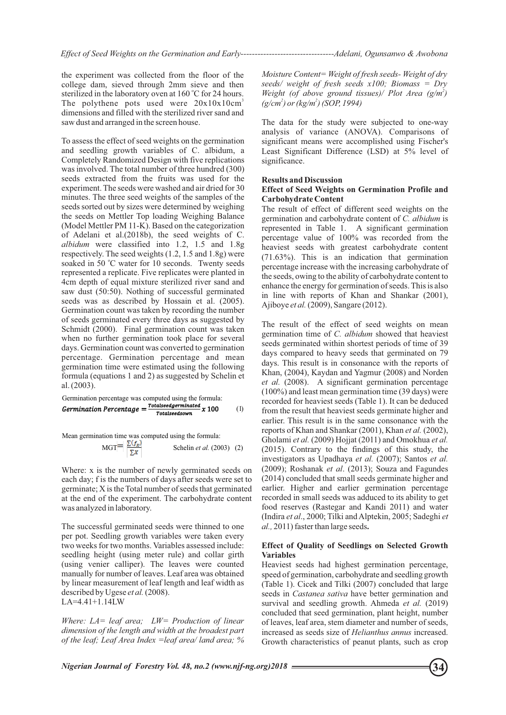the experiment was collected from the floor of the college dam, sieved through 2mm sieve and then sterilized in the laboratory oven at 160 °C for 24 hours. The polythene pots used were  $20x10x10cm^3$ dimensions and filled with the sterilized river sand and saw dust and arranged in the screen house.

To assess the effect of seed weights on the germination and seedling growth variables of C. albidum, a Completely Randomized Design with five replications was involved. The total number of three hundred (300) seeds extracted from the fruits was used for the experiment. The seeds were washed and air dried for 30 minutes. The three seed weights of the samples of the seeds sorted out by sizes were determined by weighing the seeds on Mettler Top loading Weighing Balance (Model Mettler PM 11-K). Based on the categorization of Adelani et al.(2018b), the seed weights of C. *albidum* were classified into 1.2, 1.5 and 1.8g respectively. The seed weights (1.2, 1.5 and 1.8g) were soaked in 50 °C water for 10 seconds. Twenty seeds represented a replicate. Five replicates were planted in 4cm depth of equal mixture sterilized river sand and saw dust (50:50). Nothing of successful germinated seeds was as described by Hossain et al. (2005). Germination count was taken by recording the number of seeds germinated every three days as suggested by Schmidt (2000). Final germination count was taken when no further germination took place for several days. Germination count was converted to germination percentage. Germination percentage and mean germination time were estimated using the following formula (equations 1 and 2) as suggested by Schelin et al. (2003).

**Germanation percentage was computed using the formula:**\n**Germanation Percentage =** \n
$$
\frac{\text{Totalseedgerminated}}{\text{Totalseedgerminated}} \, x \, 100
$$
\n

Mean germination time was computed using the formula:  
\n
$$
MGT = \frac{\sum (f_x)}{\sum X}
$$
\nSchelin *et al.* (2003) (2)

Where: x is the number of newly germinated seeds on each day; f is the numbers of days after seeds were set to germinate; X is the Total number of seeds that germinated at the end of the experiment. The carbohydrate content was analyzed in laboratory.

The successful germinated seeds were thinned to one per pot. Seedling growth variables were taken every two weeks for two months. Variables assessed include: seedling height (using meter rule) and collar girth (using venier calliper). The leaves were counted manually for number of leaves. Leaf area was obtained by linear measurement of leaf length and leaf width as described by Ugese *et al.*(2008). LA=4.41+1.14LW

*Where: LA= leaf area; LW= Production of linear dimension of the length and width at the broadest part of the leaf; Leaf Area Index =leaf area/ land area; %* 

*Moisture Content= Weight of fresh seeds- Weight of dry seeds/ weight of fresh seeds x100; Biomass = Dry Weight (of above ground tissues)/ Plot Area*  $(g/m^2)$ *2 2 (g/cm ) or (kg/m ) (SOP, 1994)*

The data for the study were subjected to one-way analysis of variance (ANOVA). Comparisons of significant means were accomplished using Fischer's Least Significant Difference (LSD) at 5% level of significance.

#### **Results and Discussion**

## **Effect of Seed Weights on Germination Profile and Carbohydrate Content**

The result of effect of different seed weights on the germination and carbohydrate content of *C. albidum* is represented in Table 1. A significant germination percentage value of 100% was recorded from the heaviest seeds with greatest carbohydrate content (71.63%). This is an indication that germination percentage increase with the increasing carbohydrate of the seeds, owing to the ability of carbohydrate content to enhance the energy for germination of seeds. This is also in line with reports of Khan and Shankar (2001), Ajiboye *et al.* (2009), Sangare (2012).

The result of the effect of seed weights on mean germination time of *C. albidum* showed that heaviest seeds germinated within shortest periods of time of 39 days compared to heavy seeds that germinated on 79 days. This result is in consonance with the reports of Khan, (2004), Kaydan and Yagmur (2008) and Norden *et al.* (2008). A significant germination percentage (100%) and least mean germination time (39 days) were recorded for heaviest seeds (Table 1). It can be deduced from the result that heaviest seeds germinate higher and earlier. This result is in the same consonance with the reports of Khan and Shankar (2001), Khan *et al.* (2002), Gholami *et al.* (2009) Hojjat (2011) and Omokhua *et al.* (2015). Contrary to the findings of this study, the investigators as Upadhaya *et al.* (2007); Santos *et al.* (2009); Roshanak *et al*. (2013); Souza and Fagundes (2014) concluded that small seeds germinate higher and earlier. Higher and earlier germination percentage recorded in small seeds was adduced to its ability to get food reserves (Rastegar and Kandi 2011) and water (Indira *et al*., 2000; Tilki and Alptekin, 2005; Sadeghi *et al.,* 2011) faster than large seeds**.**

## **Effect of Quality of Seedlings on Selected Growth Variables**

Heaviest seeds had highest germination percentage, speed of germination, carbohydrate and seedling growth (Table 1). Cicek and Tilki (2007) concluded that large seeds in *Castanea sativa* have better germination and survival and seedling growth. Ahmeda *et al.* (2019) concluded that seed germination, plant height, number of leaves, leaf area, stem diameter and number of seeds, increased as seeds size of *Helianthus annus* increased. Growth characteristics of peanut plants, such as crop

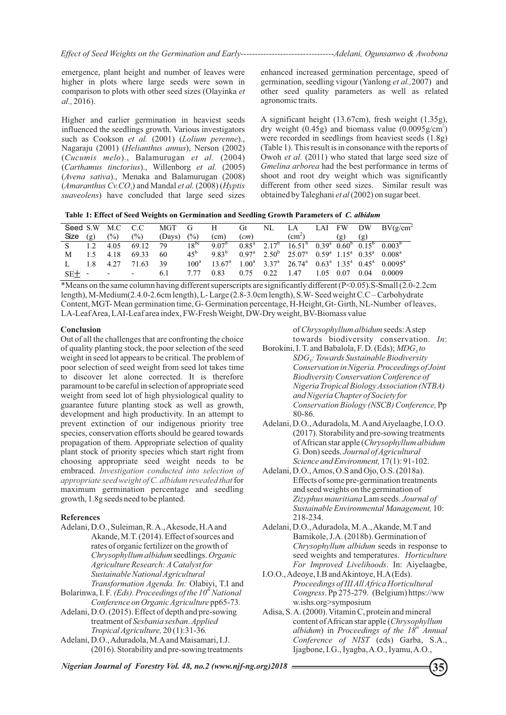emergence, plant height and number of leaves were higher in plots where large seeds were sown in comparison to plots with other seed sizes (Olayinka *et al.,* 2016).

Higher and earlier germination in heaviest seeds influenced the seedlings growth. Various investigators such as Cookson *et al.* (2001) (*Lolium perenne*)., Nagaraju (2001) (*Helianthus annus*), Nerson (2002) (*Cucumis melo*)., Balamurugan *et al.* (2004) (*Carthamus tinctorius*)., Willenborg *et al.* (2005) (*Avena sativa*)., Menaka and Balamurugan (2008) (*Amaranthus Cv.CO* ) and Mandal *et al.* (2008) (*Hyptis <sup>5</sup> suaveolens*) have concluded that large seed sizes

enhanced increased germination percentage, speed of germination, seedling vigour (Yanlong *et al.,*2007) and other seed quality parameters as well as related agronomic traits.

A significant height (13.67cm), fresh weight (1.35g), dry weight  $(0.45g)$  and biomass value  $(0.0095g/cm<sup>2</sup>)$ were recorded in seedlings from heaviest seeds (1.8g) (Table 1). This result is in consonance with the reports of Owoh *et al.* (2011) who stated that large seed size of *Gmelina arborea* had the best performance in terms of shoot and root dry weight which was significantly different from other seed sizes. Similar result was obtained by Taleghani *et al*(2002) on sugar beet.

|  | Table 1: Effect of Seed Weights on Germination and Seedling Growth Parameters of C. albidum |  |
|--|---------------------------------------------------------------------------------------------|--|
|--|---------------------------------------------------------------------------------------------|--|

|         |                  | Seed S.W M.C | C.C                      | MGT    | G                | H                 | Gt   | NL        |                                                                   |           |      | LA LAI FW DW BV $(g/cm^2)$ |
|---------|------------------|--------------|--------------------------|--------|------------------|-------------------|------|-----------|-------------------------------------------------------------------|-----------|------|----------------------------|
| Size    | $(\mathfrak{g})$ | (%)          | (%)                      | (Days) | (%)              | (cm)              | (cm) |           | $\text{cm}^2$                                                     | (g)       | (g)  |                            |
|         | 1.2              | 4.05         | 69.12                    | 79     | $18^{bc}$        | 9.07 <sup>b</sup> |      |           | $0.85^a$ $2.17^b$ $16.51^b$ $0.39^a$ $0.60^b$ $0.15^b$ $0.003^b$  |           |      |                            |
| М       | 15               | 4.18         | 69.33                    | 60     | $45^{\rm b}$     | $9.83^{b}$        |      |           | $0.97^a$ $2.50^b$ $25.07^a$ $0.59^a$ $1.15^a$ $0.35^a$ $0.008^a$  |           |      |                            |
|         |                  | 4.27         | 71.63                    | 39     | 100 <sup>a</sup> | $13.67^{\rm a}$   |      |           | $1.00^a$ $3.37^a$ $26.74^a$ $0.63^a$ $1.35^a$ $0.45^a$ $0.0095^a$ |           |      |                            |
| $SE+ -$ |                  |              | $\overline{\phantom{a}}$ | 6.1    | 7.77             | 0.83              | 0.75 | 0.22 1.47 |                                                                   | 1.05 0.07 | 0.04 | 0.0009                     |

Content, MGT- Mean germination time, G- Germination percentage, H-Height, Gt- Girth, NL-Number of leaves, LA-Leaf Area, LAI-Leaf area index, FW-Fresh Weight, DW-Dry weight, BV-Biomass value \*Means on the same column having different superscripts are significantly different (P<0.05).S-Small (2.0-2.2cm length), M-Medium(2.4.0-2.6cm length), L- Large (2.8-3.0cm length), S.W- Seed weight C.C – Carbohydrate

## **Conclusion**

Out of all the challenges that are confronting the choice of quality planting stock, the poor selection of the seed weight in seed lot appears to be critical. The problem of poor selection of seed weight from seed lot takes time to discover let alone corrected. It is therefore paramount to be careful in selection of appropriate seed weight from seed lot of high physiological quality to guarantee future planting stock as well as growth, development and high productivity. In an attempt to prevent extinction of our indigenous priority tree species, conservation efforts should be geared towards propagation of them. Appropriate selection of quality plant stock of priority species which start right from choosing appropriate seed weight needs to be embraced. *Investigation conducted into selection of appropriate seed weight of C. albidum revealed that* for maximum germination percentage and seedling growth, 1.8g seeds need to be planted.

#### **References**

- Akande, M.T. (2014). Effect of sources and *Agriculture Research: ACatalyst for Chrysophyllum albidum* seedlings. *Organic*  rates of organic fertilizer on the growth of *Transformation Agenda. In:* Olabiyi, T.I and Adelani, D.O., Suleiman, R. A., Akesode, H.Aand *Sustainable National Agricultural*
- *th* Bolarinwa, I. F*. (Eds). Proceedings of the 10 National Conference on Organic Agriculture* pp65-73*.*
- *Tropical Agriculture,* 20 (1):31-36*.* Adelani, D.O. (2015). Effect of depth and pre-sowing treatment of *Sesbania sesban*. *Applied*
- (2016). Storability and pre-sowing treatments Adelani, D.O., Aduradola, M.Aand Maisamari, I.J.

towards biodiversity conservation. *In*: of *Chrysophyllum albidum* seeds: Astep

- 80-86. *Conservation in Nigeria. Proceedings of Joint Biodiversity Conservation Conference of*  Borokini, I. T. and Babalola, F. D. (Eds); *MDG*<sub>*sto*</sub> *SDG : Towards Sustainable Biodiversity <sup>S</sup> Nigeria Tropical Biology Association (NTBA) and Nigeria Chapter of Society for Conservation Biology (NSCB) Conference,* Pp
- G. Don) seeds. *Journal of Agricultural Science and Environment,* 17(1): 91-102. of African star apple (*Chrysophyllum albidum*  Adelani, D.O., Aduradola, M. Aand Aiyelaagbe, I.O.O. (2017). Storability and pre-sowing treatments
- Adelani, D.O., Amos, O.S and Ojo, O.S. (2018a). *Sustainable Environmental Management,* 10: Effects of some pre-germination treatments and seed weights on the germination of *Zizyphus mauritiana*Lam seeds. *Journal of*  218-234.
- Bamikole, J.A. (2018b). Germination of Adelani, D.O., Aduradola, M. A., Akande, M.Tand *Chrysophyllum albidum* seeds in response to seed weights and temperatures. *Horticulture For Improved Livelihoods*. In: Aiyelaagbe,
- I.O.O., Adeoye, I.B and Akintoye, H.A(Eds). *Proceedings of III All Africa Horticultural Congress*. Pp 275-279. (Belgium) https://ww w.ishs.org>symposium
- content of African star apple (*Chrysophyllum th albidum*) in *Proceedings of the 18 Annual Conference of NIST* (eds) Garba, S.A., Ijagbone, I.G., Iyagba, A.O., Iyamu, A.O., Adisa, S. A. (2000). Vitamin C, protein and mineral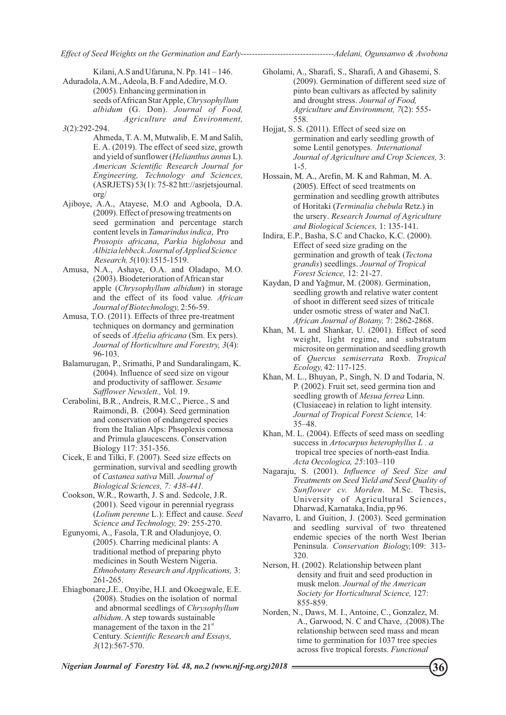Kilani, A.S and Ufaruna, N. Pp. 141 – 146.

Aduradola, A.M., Adeola, B. F and Adedire, M.O. (2005). Enhancing germination in seeds of African Star Apple, *Chrysophyllum albidum* (G. Don). *Journal of Food, Agriculture and Environment,*

*3*(2):292-294.

- Ahmeda, T. A. M, Mutwalib, E. M and Salih, E. A. (2019). The effect of seed size, growth and yield of sunflower (*Helianthus annus* L). *American Scientific Research Journal for Engineering, Technology and Sciences,* (ASRJETS) 53(1): 75-82 htt://asrjetsjournal. org/
- seed germination and percentage starch content levels in *Tamarindus indica*, Pro *Prosopis africana*, *Parkia biglobosa* and *Albizia lebbeck*. *Journal of Applied Science*  Ajiboye, A.A., Atayese, M.O and Agboola, D.A. (2009). Effect of presowing treatments on *Research, 5*(10):1515-1519.
- Amusa, N.A., Ashaye, O.A. and Oladapo, M.O. (2003). Biodeterioration of African star apple (*Chrysophyllum albidum*) in storage and the effect of its food value*. African Journal of Biotechnology,* 2:56-59.
- Amusa, T.O. (2011). Effects of three pre-treatment techniques on dormancy and germination of seeds of *Afzelia africana* (Sm. Ex pers). *Journal of Horticulture and Forestry, 3*(4): 96-103.
- Balamurugan, P., Srimathi, P and Sundaralingam, K. (2004). Influence of seed size on vigour and productivity of safflower. *Sesame Safflower Newslett.,* Vol. 19.
- Cerabolini, B.R., Andreis, R.M.C., Pierce., S and Raimondi, B. (2004). Seed germination and conservation of endangered species from the Italian Alps: Phsoplexis comosa and Primula glaucescens. Conservation Biology 117: 351-356.
- Cicek, E and Tilki, F. (2007). Seed size effects on germination, survival and seedling growth of *Castanea sativa* Mill. *Journal of Biological Sciences, 7: 438-441.*
- Cookson, W.R., Rowarth, J. S and. Sedcole, J.R. (2001). Seed vigour in perennial ryegrass (*Lolium perenne* L.): Effect and cause. *Seed Science and Technology,* 29: 255-270.
- Egunyomi, A., Fasola, T.R and Oladunjoye, O. (2005). Charring medicinal plants: A traditional method of preparing phyto medicines in South Western Nigeria. *Ethnobotany Research and Applications,* 3: 261-265.
- and abnormal seedlings of *Chrysophyllum albidum*. A step towards sustainable management of the taxon in the  $21<sup>st</sup>$ Century. *Scientific Research and Essays, 3*(12):567-570. Ehiagbonare,J.E., Onyibe, H.I. and Okoegwale, E.E. (2008). Studies on the isolation of normal
- Gholami, A., Sharafi, S., Sharafi, A and Ghasemi, S. (2009). Germination of different seed size of pinto bean cultivars as affected by salinity and drought stress. *Journal of Food, Agriculture and Environment, 7*(2): 555- 558.
- Hojjat, S. S. (2011). Effect of seed size on germination and early seedling growth of some Lentil genotypes. *International Journal of Agriculture and Crop Sciences,* 3: 1-5.
- Hossain, M. A., Arefin, M. K and Rahman, M. A. (2005). Effect of seed treatments on germination and seedling growth attributes of Horitaki (*Terminalia chebula* Retz.) in the ursery. *Research Journal of Agriculture and Biological Sciences,* 1: 135-141.
- Indira, E.P., Basha, S.C and Chacko, K.C. (2000). Effect of seed size grading on the germination and growth of teak (*Tectona grandis*) seedlings. *Journal of Tropical Forest Science,* 12: 21-27.
- Kaydan, D and Yağmur, M. (2008). Germination, seedling growth and relative water content of shoot in different seed sizes of triticale under osmotic stress of water and NaCl. *African Journal of Botany,* 7: 2862-2868.
- Khan, M. L and Shankar, U. (2001). Effect of seed weight, light regime, and substratum microsite on germination and seedling growth of *Quercus semiserrata* Roxb. *Tropical Ecology,* 42: 117-125.
- Khan, M. L., Bhuyan, P., Singh, N. D and Todaria, N. P. (2002). Fruit set, seed germina tion and seedling growth of *Mesua ferrea* Linn. (Clusiaceae) in relation to light intensity. *Journal of Tropical Forest Science,* 14: 35–48.
- tropical tree species of north-east India. *Acta Oecologica, 25*:103–110 Khan, M. L. (2004). Effects of seed mass on seedling success in *Artocarpus heterophyllus L . a*
- Nagaraju, S. (2001). *Influence of Seed Size and Treatments on Seed Yield and Seed Quality of Sunflower cv. Morden*. M.Sc. Thesis, University of Agricultural Sciences, Dharwad, Karnataka, India, pp 96.
- Navarro, L and Guition, J. (2003). Seed germination and seedling survival of two threatened endemic species of the north West Iberian Peninsula. *Conservation Biology,*109: 313- 320.
- Nerson, H. (2002). Relationship between plant density and fruit and seed production in musk melon. *Journal of the American Society for Horticultural Science,* 127: 855-859.
- Norden, N., Daws, M. I., Antoine, C., Gonzalez, M. A., Garwood, N. C and Chave, .(2008).The relationship between seed mass and mean time to germination for 1037 tree species across five tropical forests. *Functional*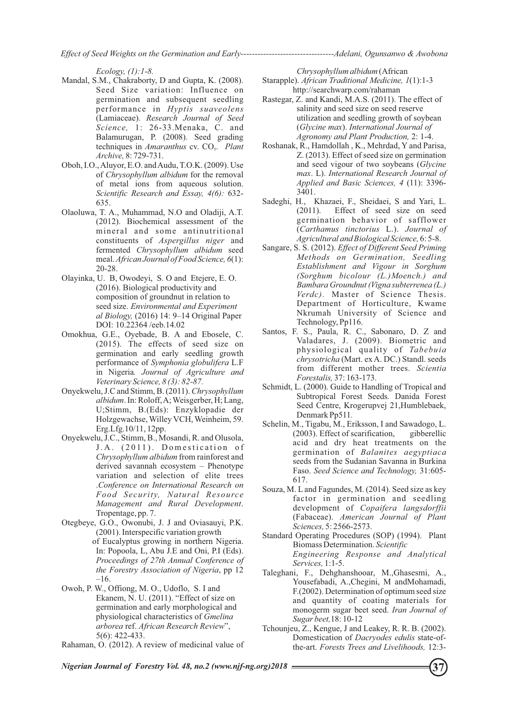*Effect of Seed Weights on the Germination and Early---------------------------------Adelani, Ogunsanwo & Awobona*

*Ecology, (1):1-8.*

- Mandal, S.M., Chakraborty, D and Gupta, K. (2008). Seed Size variation: Influence on germination and subsequent seedling performance in *Hyptis suaveolens* (Lamiaceae). *Research Journal of Seed Science,* 1: 26-33.Menaka, C. and Balamurugan, P. (2008). Seed grading techniques in *Amaranthus* cv. CO. Plant *Archive,* 8: 729-731.
- Oboh, I.O., Aluyor, E.O. and Audu, T.O.K. (2009). Use of *Chrysophyllum albidum* for the removal of metal ions from aqueous solution. *Scientific Research and Essay, 4(6):* 632- 635.
- Olaoluwa, T. A., Muhammad, N.O and Oladiji, A.T. (2012). Biochemical assessment of the mineral and some antinutritional constituents of *Aspergillus niger* and fermented *Chrysophyllum albidum* seed meal. *African Journal of Food Science, 6*(1): 20-28.
- Olayinka, U. B, Owodeyi, S. O and Etejere, E. O. (2016). Biological productivity and composition of groundnut in relation to seed size. *Environmental and Experiment al Biology,* (2016) 14: 9–14 Original Paper DOI: 10.22364 /eeb.14.02
- Omokhua, G.E., Oyebade, B. A and Ebosele, C. (2015). The effects of seed size on germination and early seedling growth performance of *Symphonia globulifera* L.F in Nigeria*. Journal of Agriculture and Veterinary Science, 8 (3): 82-87.*
- Onyekwelu, J.C and Stimm, B. (2011). *Chrysophyllum albidum*. In: Roloff, A; Weisgerber, H; Lang, U;Stimm, B.(Eds): Enzyklopadie der Holzgewachse, Willey VCH, Weinheim, 59. Erg.Lfg.10/11, 12pp.
- Onyekwelu, J.C., Stimm, B., Mosandi, R. and Olusola, J.A. (2011). Domestication of *Chrysophyllum albidum* from rainforest and derived savannah ecosystem – Phenotype variation and selection of elite trees .*Conference on International Research on Food Security, Natural Resource Management and Rural Development*. Tropentage, pp. 7.
- of Eucalyptus growing in northern Nigeria. In: Popoola, L, Abu J.E and Oni, P.I (Eds). *Proceedings of 27th Annual Conference of the Forestry Association of Nigeria*, pp 12 –16. Otegbeye, G.O., Owonubi, J. J and Oviasauyi, P.K. (2001). Interspecific variation growth
- Owoh, P. W., Offiong, M. O., Udoflo, S. I and Ekanem, N. U. (2011). "Effect of size on germination and early morphological and physiological characteristics of *Gmelina arborea* ref. *African Research Review*", 5(6): 422-433.
- Rahaman, O. (2012). A review of medicinal value of

*Chrysophyllum albidum* (African

- Starapple). *African Traditional Medicine, 1*(1):1-3 http://searchwarp.com/rahaman
- Rastegar, Z. and Kandi, M.A.S. (2011). The effect of salinity and seed size on seed reserve utilization and seedling growth of soybean (*Glycine max*). *International Journal of Agronomy and Plant Production,* 2: 1-4.
- Roshanak, R., Hamdollah , K., Mehrdad, Y and Parisa, Z. (2013). Effect of seed size on germination and seed vigour of two soybeans (*Glycine max*. L). *International Research Journal of Applied and Basic Sciences, 4* (11): 3396- 3401.
- Sadeghi, H., Khazaei, F., Sheidaei, S and Yari, L. (2011). Effect of seed size on seed Effect of seed size on seed germination behavior of safflower (*Carthamus tinctorius* L.). *Journal of Agricultural and Biological Science,* 6: 5-8.
- Sangare, S. S. (2012). *Effect of Different Seed Priming Methods on Germination, Seedling Establishment and Vigour in Sorghum (Sorghum bicolour (L.)Moench.) and Bambara Groundnut (Vigna subterrenea (L.) Verdc).* Master of Science Thesis. Department of Horticulture, Kwame Nkrumah University of Science and Technology, Pp116.
- Santos, F. S., Paula, R. C., Sabonaro, D. Z and Valadares, J. (2009). Biometric and physiological quality of *Tabebuia chrysotricha* (Mart. ex A. DC.) Standl. seeds from different mother trees. *Scientia Forestalis,* 37: 163-173.
- Schmidt, L. (2000). Guide to Handling of Tropical and Subtropical Forest Seeds*.* Danida Forest Seed Centre, Krogerupvej 21,Humblebaek, Denmark Pp511*.*
- Schelin, M., Tigabu, M., Eriksson, I and Sawadogo, L. (2003). Effect of scarification, gibberellic acid and dry heat treatments on the germination of *Balanites aegyptiaca* seeds from the Sudanian Savanna in Burkina Faso. *Seed Science and Technology,* 31:605- 617.
- Souza, M. Land Fagundes, M. (2014). Seed size as key factor in germination and seedling development of *Copaifera langsdorffii* (Fabaceae). *American Journal of Plant Sciences,* 5: 2566-2573.
- Standard Operating Procedures (SOP) (1994). Plant Biomass Determination. *Scientific Engineering Response and Analytical Services,* 1:1-5.
- Taleghani, F., Dehghanshooar, M.,Ghasesmi, A., Yousefabadi, A.,Chegini, M andMohamadi, F.(2002). Determination of optimum seed size and quantity of coating materials for monogerm sugar beet seed. *Iran Journal of Sugar beet,*18: 10-12
- Tchounjeu, Z., Kengue, J and Leakey, R. R. B. (2002). Domestication of *Dacryodes edulis* state-ofthe-art. *Forests Trees and Livelihoods,* 12:3-

**37**